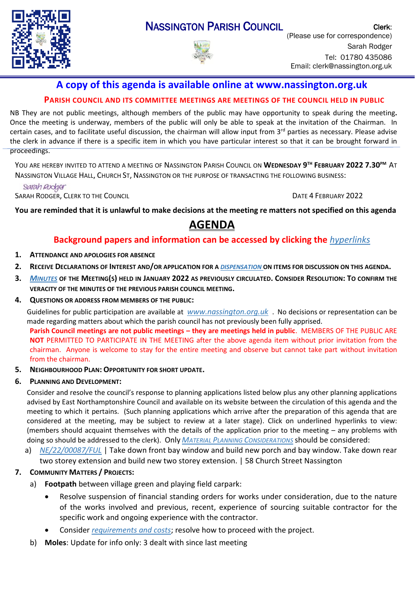

## **A copy of this agenda is available online at www.nassington.org.uk**

## **PARISH COUNCIL AND ITS COMMITTEE MEETINGS ARE MEETINGS OF THE COUNCIL HELD IN PUBLIC**

NB They are not public meetings, although members of the public may have opportunity to speak during the meeting**.**  Once the meeting is underway, members of the public will only be able to speak at the invitation of the Chairman. In certain cases, and to facilitate useful discussion, the chairman will allow input from 3<sup>rd</sup> parties as necessary. Please advise the clerk in advance if there is a specific item in which you have particular interest so that it can be brought forward in proceedings.

YOU ARE HEREBY INVITED TO ATTEND A MEETING OF NASSINGTON PARISH COUNCIL ON **WEDNESDAY 9 TH FEBRUARY 2022 7.30PM** AT NASSINGTON VILLAGE HALL, CHURCH ST, NASSINGTON OR THE PURPOSE OF TRANSACTING THE FOLLOWING BUSINESS:

Sarah Rodger

SARAH RODGER, CLERK TO THE COUNCIL **DATE 4 FEBRUARY 2022** 

**You are reminded that it is unlawful to make decisions at the meeting re matters not specified on this agenda** 

# **AGENDA**

## **Background papers and information can be accessed by clicking the** *[hyperlinks](https://en.wikipedia.org/wiki/Hyperlink)*

- **1. ATTENDANCE AND APOLOGIES FOR ABSENCE**
- **2. RECEIVE D[ECLARATIONS](http://www.east-northamptonshire.gov.uk/info/723/parish_and_town_councils/1464/deene_and_deenethorpe_parish_council) OF INTEREST AND/OR APPLICATION FOR A** *[DISPENSATION](https://www.dropbox.com/s/gcj2iv12s4iwf9h/Dispensation%20Request%20Form.dotx?dl=0)* **ON ITEMS FOR DISCUSSION ON THIS AGENDA.**
- 3. M[INUTES](https://nassington.org.uk/parish-council/agendas-and-minutes/) OF THE MEETING(S) HELD IN JANUARY 2022 AS PREVIOUSLY CIRCULATED. CONSIDER RESOLUTION: TO CONFIRM THE **VERACITY OF THE MINUTES OF THE PREVIOUS PARISH COUNCIL MEETING.**
- **4. QUESTIONS OR ADDRESS FROM MEMBERS OF THE PUBLIC:**

Guidelines for public participation are available at *[www.nassington.org.uk](http://www.nassington.org.uk/parish-council-administration)* . No decisions or representation can be made regarding matters about which the parish council has not previously been fully apprised.

**Parish Council meetings are not public meetings – they are meetings held in public**. MEMBERS OF THE PUBLIC ARE **NOT** PERMITTED TO PARTICIPATE IN THE MEETING after the above agenda item without prior invitation from the chairman. Anyone is welcome to stay for the entire meeting and observe but cannot take part without invitation from the chairman.

**5. NEIGHBOURHOOD PLAN: OPPORTUNITY FOR SHORT UPDATE.** 

### **6. PLANNING AND DEVELOPMENT:**

Consider and resolve the council's response to planning applications listed below plus any other planning applications advised by East Northamptonshire Council and available on its website between the circulation of this agenda and the meeting to which it pertains. (Such planning applications which arrive after the preparation of this agenda that are considered at the meeting, may be subject to review at a later stage). Click on underlined hyperlinks to view: (members should acquaint themselves with the details of the application prior to the meeting – any problems with doing so should be addressed to the clerk). Only *MATERIAL PLANNING C[ONSIDERATIONS](https://www.dropbox.com/s/80jsr8v84t0qhg1/1706%20NCALC%20material%20planning%20considerations.pdf?dl=0)* should be considered:

a) *[NE/22/00087/FUL](https://publicaccess.east-northamptonshire.gov.uk/online-applications/applicationDetails.do?activeTab=documents&keyVal=R67FLBGOMNO00)* | Take down front bay window and build new porch and bay window. Take down rear two storey extension and build new two storey extension. | 58 Church Street Nassington

### **7. COMMUNITY MATTERS / PROJECTS:**

- a) **Footpath** between village green and playing field carpark:
	- Resolve suspension of financial standing orders for works under consideration, due to the nature of the works involved and previous, recent, experience of sourcing suitable contractor for the specific work and ongoing experience with the contractor.
	- Consider *[requirements and costs](https://www.dropbox.com/s/weoor79170s0yr8/22.02%20AMT%20costs%20footway%20to%20play%20field%20extensions.pdf?dl=0)*; resolve how to proceed with the project.
- b) **Moles**: Update for info only: 3 dealt with since last meeting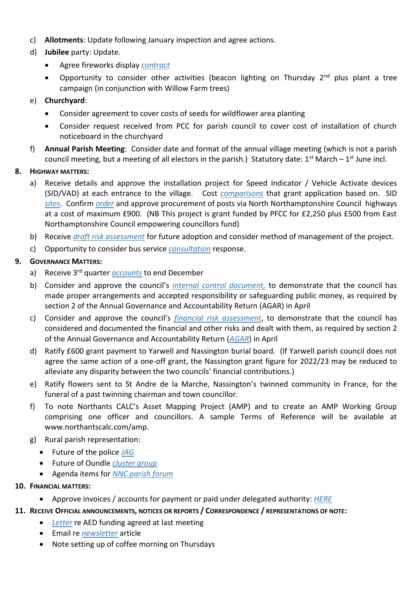- c) **Allotments**: Update following January inspection and agree actions.
- d) **Jubilee** party: Update.
	- Agree fireworks display *[contract](https://www.dropbox.com/s/oxtcwarvyikd79a/22.02%20jubilee%20Nassington%20Contract.doc?dl=0)*
	- Opportunity to consider other activities (beacon lighting on Thursday  $2^{nd}$  plus plant a tree campaign (in conjunction with Willow Farm trees)

## e) **Churchyard**:

- Consider agreement to cover costs of seeds for wildflower area planting
- Consider request received from PCC for parish council to cover cost of installation of church noticeboard in the churchyard
- f) **Annual Parish Meeting**: Consider date and format of the annual village meeting (which is not a parish council meeting, but a meeting of all electors in the parish.) Statutory date: 1<sup>st</sup> March – 1<sup>st</sup> June incl.

## **8. HIGHWAY MATTERS:**

- a) Receive details and approve the installation project for Speed Indicator / Vehicle Activate devices (SID/VAD) at each entrance to the village. Cost *[comparisons](https://1drv.ms/x/s!AsKHV8kav90Z7WmRC2o3VcpfbNgj?e=u0abpc)* that grant application based on. SID *[sites](https://www.dropbox.com/s/90qbntafo6s0p3n/Nassington%20SID%20Section%2050%20sites.pdf?dl=0)*. Confirm *[order](https://www.dropbox.com/s/xej4h0f3z41ie33/22.02%20ElanCity%20quote%20SO-UK02167.pdf?dl=0)* and approve procurement of posts via North Northamptonshire Council highways at a cost of maximum £900. (NB This project is grant funded by PFCC for £2,250 plus £500 from East Northamptonshire Council empowering councillors fund)
- b) Receive *[draft risk assessment](https://www.dropbox.com/s/t6bcckkkbkx8rqb/Speed%20Camera%20Installation%20and%20use.xlsx?dl=0)* for future adoption and consider method of management of the project.
- c) Opportunity to consider bus service *[consultation](https://www.northnorthants.gov.uk/parking-roads-and-transport/bus-timetables-passes-and-improvements)* response.

## **9. GOVERNANCE MATTERS:**

- a) Receive 3rd quarter *[accounts](https://www.dropbox.com/s/r4l9h40mi0e3hd6/NPC%20Accounts%202021_22.xlsx?dl=0)* to end December
- b) Consider and approve the council's *[internal control](https://www.dropbox.com/s/kui7gtsmq229a4e/NPC%20Internal%20control.docx?dl=0) document,* to demonstrate that the council has made proper arrangements and accepted responsibility or safeguarding public money, as required by section 2 of the Annual Governance and Accountability Return (AGAR) in April
- c) Consider and approve the council's *[financial risk assessment](https://www.dropbox.com/s/oy1fqzzssholc2j/NPC%20fin%20risk%20assesment.docx?dl=0)*, to demonstrate that the council has considered and documented the financial and other risks and dealt with them, as required by section 2 of the Annual Governance and Accountability Return (*[AGAR](https://www.dropbox.com/s/hpzoqpqw3r0pa8t/NH0164%20AGAR.pdf?dl=0)*) in April
- d) Ratify £600 grant payment to Yarwell and Nassington burial board. (If Yarwell parish council does not agree the same action of a one-off grant, the Nassington grant figure for 2022/23 may be reduced to alleviate any disparity between the two councils' financial contributions.)
- e) Ratify flowers sent to St Andre de la Marche, Nassington's twinned community in France, for the funeral of a past twinning chairman and town councillor.
- f) To note Northants CALC's Asset Mapping Project (AMP) and to create an AMP Working Group comprising one officer and councillors. A sample Terms of Reference will be available at www.northantscalc.com/amp.
- g) Rural parish representation:
	- Future of the police *[JAG](https://www.dropbox.com/s/judfwjb1k4vle8a/22.01%20Minutes%20of%20%20JAG%20Teams%20Meeting%20January%2020th.pdf?dl=0)*
	- Future of Oundle *[cluster group](https://www.dropbox.com/s/lx54ejqd9u11mby/22.02%20Rural%20Coordination%20Group.pdf?dl=0)*
	- Agenda items for *[NNC parish forum](https://www.dropbox.com/s/0bhusmgjcs9f33t/22.02%20NNC%20Parish%20Forum%20Agenda%20Item%20Request.pdf?dl=0)*
- **10. FINANCIAL MATTERS:**
	- Approve invoices / accounts for payment or paid under delegated authority: *[HERE](https://www.dropbox.com/s/0kq9aqguynqfcn9/Payments.xlsx?dl=0)*

### **11. RECEIVE OFFICIAL ANNOUNCEMENTS, NOTICES OR REPORTS / CORRESPONDENCE / REPRESENTATIONS OF NOTE:**

- *[Letter](https://www.dropbox.com/s/lmkr01g7klb5d67/22.02%20HSUK%20Letter%20to%20Nassington%20PC.pdf?dl=0)* re AED funding agreed at last meeting
- Email re *[newsletter](https://www.dropbox.com/s/zn3qtx1k5u97ht7/22.02%20Oil%20boilers.pdf?dl=0)* article
- Note setting up of coffee morning on Thursdays